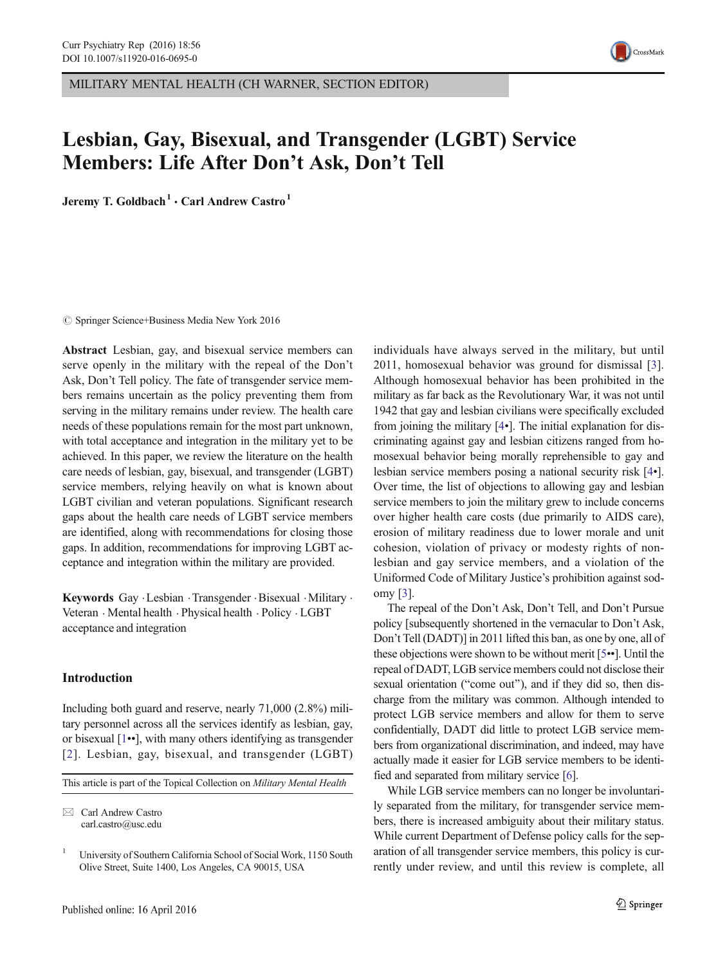MILITARY MENTAL HEALTH (CH WARNER, SECTION EDITOR)



# Lesbian, Gay, Bisexual, and Transgender (LGBT) Service Members: Life After Don't Ask, Don't Tell

Jeremy T. Goldbach<sup>1</sup>  $\cdot$  Carl Andrew Castro<sup>1</sup>

 $\circ$  Springer Science+Business Media New York 2016

Abstract Lesbian, gay, and bisexual service members can serve openly in the military with the repeal of the Don't Ask, Don't Tell policy. The fate of transgender service members remains uncertain as the policy preventing them from serving in the military remains under review. The health care needs of these populations remain for the most part unknown, with total acceptance and integration in the military yet to be achieved. In this paper, we review the literature on the health care needs of lesbian, gay, bisexual, and transgender (LGBT) service members, relying heavily on what is known about LGBT civilian and veteran populations. Significant research gaps about the health care needs of LGBT service members are identified, along with recommendations for closing those gaps. In addition, recommendations for improving LGBT acceptance and integration within the military are provided.

Keywords Gay .Lesbian .Transgender .Bisexual .Military . Veteran . Mental health . Physical health . Policy . LGBT acceptance and integration

# Introduction

Including both guard and reserve, nearly 71,000 (2.8%) military personnel across all the services identify as lesbian, gay, or bisexual [\[1](#page-4-0)••], with many others identifying as transgender [[2](#page-4-0)]. Lesbian, gay, bisexual, and transgender (LGBT)

This article is part of the Topical Collection on Military Mental Health

individuals have always served in the military, but until 2011, homosexual behavior was ground for dismissal [\[3\]](#page-5-0). Although homosexual behavior has been prohibited in the military as far back as the Revolutionary War, it was not until 1942 that gay and lesbian civilians were specifically excluded from joining the military [[4](#page-5-0)•]. The initial explanation for discriminating against gay and lesbian citizens ranged from homosexual behavior being morally reprehensible to gay and lesbian service members posing a national security risk [\[4](#page-5-0)•]. Over time, the list of objections to allowing gay and lesbian service members to join the military grew to include concerns over higher health care costs (due primarily to AIDS care), erosion of military readiness due to lower morale and unit cohesion, violation of privacy or modesty rights of nonlesbian and gay service members, and a violation of the Uniformed Code of Military Justice's prohibition against sodomy [\[3](#page-5-0)].

The repeal of the Don't Ask, Don't Tell, and Don't Pursue policy [subsequently shortened in the vernacular to Don't Ask, Don't Tell (DADT)] in 2011 lifted this ban, as one by one, all of these objections were shown to be without merit [\[5](#page-5-0)••]. Until the repeal of DADT, LGB service members could not disclose their sexual orientation ("come out"), and if they did so, then discharge from the military was common. Although intended to protect LGB service members and allow for them to serve confidentially, DADT did little to protect LGB service members from organizational discrimination, and indeed, may have actually made it easier for LGB service members to be identified and separated from military service [\[6\]](#page-5-0).

While LGB service members can no longer be involuntarily separated from the military, for transgender service members, there is increased ambiguity about their military status. While current Department of Defense policy calls for the separation of all transgender service members, this policy is currently under review, and until this review is complete, all

 $\boxtimes$  Carl Andrew Castro carl.castro@usc.edu

<sup>&</sup>lt;sup>1</sup> University of Southern California School of Social Work, 1150 South Olive Street, Suite 1400, Los Angeles, CA 90015, USA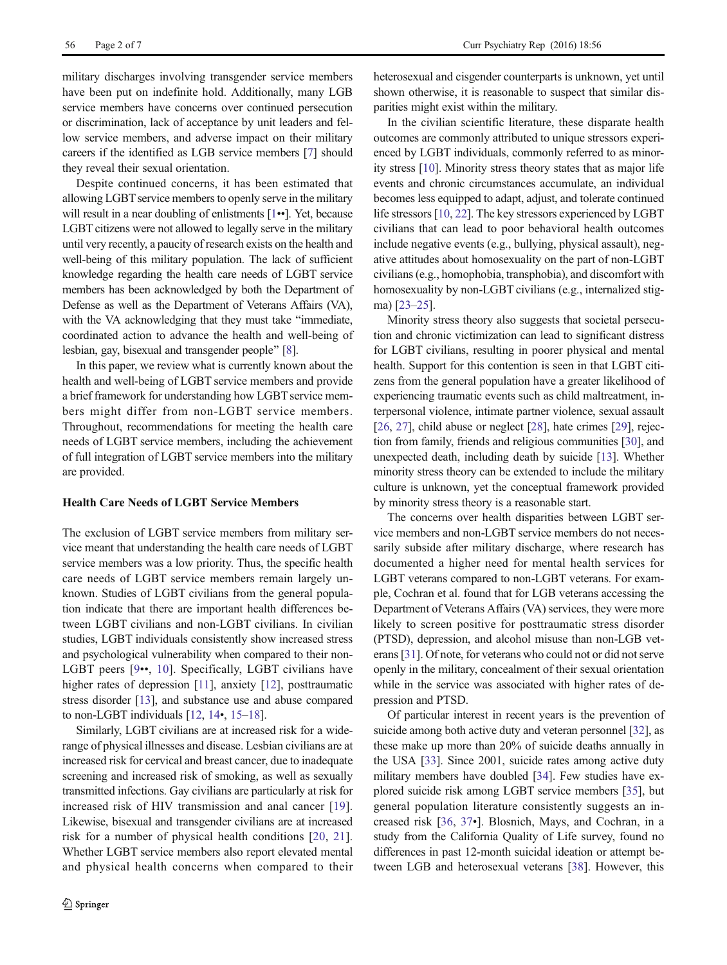military discharges involving transgender service members have been put on indefinite hold. Additionally, many LGB service members have concerns over continued persecution or discrimination, lack of acceptance by unit leaders and fellow service members, and adverse impact on their military careers if the identified as LGB service members [[7\]](#page-5-0) should they reveal their sexual orientation.

Despite continued concerns, it has been estimated that allowing LGBT service members to openly serve in the military will result in a near doubling of enlistments [\[1](#page-4-0)••]. Yet, because LGBT citizens were not allowed to legally serve in the military until very recently, a paucity of research exists on the health and well-being of this military population. The lack of sufficient knowledge regarding the health care needs of LGBT service members has been acknowledged by both the Department of Defense as well as the Department of Veterans Affairs (VA), with the VA acknowledging that they must take "immediate, coordinated action to advance the health and well-being of lesbian, gay, bisexual and transgender people^ [\[8](#page-5-0)].

In this paper, we review what is currently known about the health and well-being of LGBT service members and provide a brief framework for understanding how LGBT service members might differ from non-LGBT service members. Throughout, recommendations for meeting the health care needs of LGBT service members, including the achievement of full integration of LGBT service members into the military are provided.

## Health Care Needs of LGBT Service Members

The exclusion of LGBT service members from military service meant that understanding the health care needs of LGBT service members was a low priority. Thus, the specific health care needs of LGBT service members remain largely unknown. Studies of LGBT civilians from the general population indicate that there are important health differences between LGBT civilians and non-LGBT civilians. In civilian studies, LGBT individuals consistently show increased stress and psychological vulnerability when compared to their non-LGBT peers [[9](#page-5-0)••, [10\]](#page-5-0). Specifically, LGBT civilians have higher rates of depression [\[11\]](#page-5-0), anxiety [[12\]](#page-5-0), posttraumatic stress disorder [[13\]](#page-5-0), and substance use and abuse compared to non-LGBT individuals [[12](#page-5-0), [14](#page-5-0)•, [15](#page-5-0)–[18](#page-5-0)].

Similarly, LGBT civilians are at increased risk for a widerange of physical illnesses and disease. Lesbian civilians are at increased risk for cervical and breast cancer, due to inadequate screening and increased risk of smoking, as well as sexually transmitted infections. Gay civilians are particularly at risk for increased risk of HIV transmission and anal cancer [\[19](#page-5-0)]. Likewise, bisexual and transgender civilians are at increased risk for a number of physical health conditions [\[20,](#page-5-0) [21](#page-5-0)]. Whether LGBT service members also report elevated mental and physical health concerns when compared to their heterosexual and cisgender counterparts is unknown, yet until shown otherwise, it is reasonable to suspect that similar disparities might exist within the military.

In the civilian scientific literature, these disparate health outcomes are commonly attributed to unique stressors experienced by LGBT individuals, commonly referred to as minority stress [\[10](#page-5-0)]. Minority stress theory states that as major life events and chronic circumstances accumulate, an individual becomes less equipped to adapt, adjust, and tolerate continued life stressors [[10,](#page-5-0) [22\]](#page-5-0). The key stressors experienced by LGBT civilians that can lead to poor behavioral health outcomes include negative events (e.g., bullying, physical assault), negative attitudes about homosexuality on the part of non-LGBT civilians (e.g., homophobia, transphobia), and discomfort with homosexuality by non-LGBT civilians (e.g., internalized stigma) [\[23](#page-5-0)–[25](#page-5-0)].

Minority stress theory also suggests that societal persecution and chronic victimization can lead to significant distress for LGBT civilians, resulting in poorer physical and mental health. Support for this contention is seen in that LGBT citizens from the general population have a greater likelihood of experiencing traumatic events such as child maltreatment, interpersonal violence, intimate partner violence, sexual assault [\[26](#page-5-0), [27](#page-5-0)], child abuse or neglect [\[28\]](#page-5-0), hate crimes [\[29\]](#page-5-0), rejection from family, friends and religious communities [\[30\]](#page-5-0), and unexpected death, including death by suicide [\[13\]](#page-5-0). Whether minority stress theory can be extended to include the military culture is unknown, yet the conceptual framework provided by minority stress theory is a reasonable start.

The concerns over health disparities between LGBT service members and non-LGBT service members do not necessarily subside after military discharge, where research has documented a higher need for mental health services for LGBT veterans compared to non-LGBT veterans. For example, Cochran et al. found that for LGB veterans accessing the Department of Veterans Affairs (VA) services, they were more likely to screen positive for posttraumatic stress disorder (PTSD), depression, and alcohol misuse than non-LGB veterans [\[31](#page-5-0)]. Of note, for veterans who could not or did not serve openly in the military, concealment of their sexual orientation while in the service was associated with higher rates of depression and PTSD.

Of particular interest in recent years is the prevention of suicide among both active duty and veteran personnel [[32](#page-5-0)], as these make up more than 20% of suicide deaths annually in the USA [[33\]](#page-5-0). Since 2001, suicide rates among active duty military members have doubled [[34\]](#page-5-0). Few studies have explored suicide risk among LGBT service members [\[35\]](#page-5-0), but general population literature consistently suggests an increased risk [\[36](#page-5-0), [37](#page-5-0)•]. Blosnich, Mays, and Cochran, in a study from the California Quality of Life survey, found no differences in past 12-month suicidal ideation or attempt between LGB and heterosexual veterans [\[38](#page-5-0)]. However, this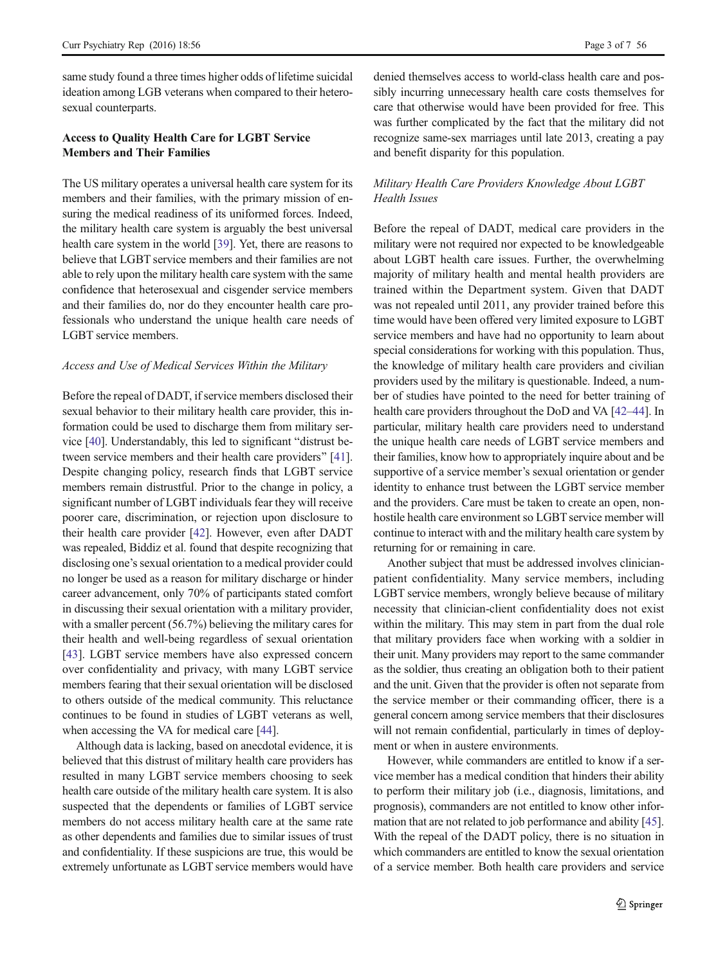same study found a three times higher odds of lifetime suicidal ideation among LGB veterans when compared to their heterosexual counterparts.

# Access to Quality Health Care for LGBT Service Members and Their Families

The US military operates a universal health care system for its members and their families, with the primary mission of ensuring the medical readiness of its uniformed forces. Indeed, the military health care system is arguably the best universal health care system in the world [\[39\]](#page-6-0). Yet, there are reasons to believe that LGBT service members and their families are not able to rely upon the military health care system with the same confidence that heterosexual and cisgender service members and their families do, nor do they encounter health care professionals who understand the unique health care needs of LGBT service members.

## Access and Use of Medical Services Within the Military

Before the repeal of DADT, if service members disclosed their sexual behavior to their military health care provider, this information could be used to discharge them from military service  $[40]$  $[40]$ . Understandably, this led to significant "distrust be-tween service members and their health care providers" [[41\]](#page-6-0). Despite changing policy, research finds that LGBT service members remain distrustful. Prior to the change in policy, a significant number of LGBT individuals fear they will receive poorer care, discrimination, or rejection upon disclosure to their health care provider [\[42](#page-6-0)]. However, even after DADT was repealed, Biddiz et al. found that despite recognizing that disclosing one's sexual orientation to a medical provider could no longer be used as a reason for military discharge or hinder career advancement, only 70% of participants stated comfort in discussing their sexual orientation with a military provider, with a smaller percent (56.7%) believing the military cares for their health and well-being regardless of sexual orientation [\[43](#page-6-0)]. LGBT service members have also expressed concern over confidentiality and privacy, with many LGBT service members fearing that their sexual orientation will be disclosed to others outside of the medical community. This reluctance continues to be found in studies of LGBT veterans as well, when accessing the VA for medical care [\[44](#page-6-0)].

Although data is lacking, based on anecdotal evidence, it is believed that this distrust of military health care providers has resulted in many LGBT service members choosing to seek health care outside of the military health care system. It is also suspected that the dependents or families of LGBT service members do not access military health care at the same rate as other dependents and families due to similar issues of trust and confidentiality. If these suspicions are true, this would be extremely unfortunate as LGBT service members would have denied themselves access to world-class health care and possibly incurring unnecessary health care costs themselves for care that otherwise would have been provided for free. This was further complicated by the fact that the military did not recognize same-sex marriages until late 2013, creating a pay and benefit disparity for this population.

# Military Health Care Providers Knowledge About LGBT Health Issues

Before the repeal of DADT, medical care providers in the military were not required nor expected to be knowledgeable about LGBT health care issues. Further, the overwhelming majority of military health and mental health providers are trained within the Department system. Given that DADT was not repealed until 2011, any provider trained before this time would have been offered very limited exposure to LGBT service members and have had no opportunity to learn about special considerations for working with this population. Thus, the knowledge of military health care providers and civilian providers used by the military is questionable. Indeed, a number of studies have pointed to the need for better training of health care providers throughout the DoD and VA [[42](#page-6-0)–[44](#page-6-0)]. In particular, military health care providers need to understand the unique health care needs of LGBT service members and their families, know how to appropriately inquire about and be supportive of a service member's sexual orientation or gender identity to enhance trust between the LGBT service member and the providers. Care must be taken to create an open, nonhostile health care environment so LGBT service member will continue to interact with and the military health care system by returning for or remaining in care.

Another subject that must be addressed involves clinicianpatient confidentiality. Many service members, including LGBT service members, wrongly believe because of military necessity that clinician-client confidentiality does not exist within the military. This may stem in part from the dual role that military providers face when working with a soldier in their unit. Many providers may report to the same commander as the soldier, thus creating an obligation both to their patient and the unit. Given that the provider is often not separate from the service member or their commanding officer, there is a general concern among service members that their disclosures will not remain confidential, particularly in times of deployment or when in austere environments.

However, while commanders are entitled to know if a service member has a medical condition that hinders their ability to perform their military job (i.e., diagnosis, limitations, and prognosis), commanders are not entitled to know other information that are not related to job performance and ability [[45\]](#page-6-0). With the repeal of the DADT policy, there is no situation in which commanders are entitled to know the sexual orientation of a service member. Both health care providers and service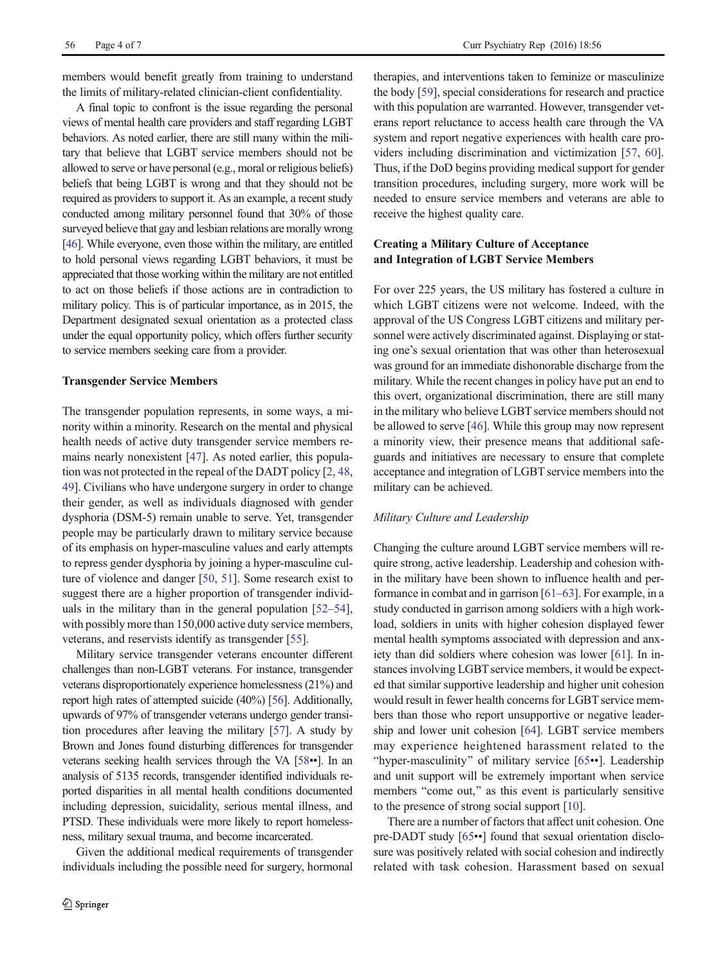members would benefit greatly from training to understand the limits of military-related clinician-client confidentiality.

A final topic to confront is the issue regarding the personal views of mental health care providers and staff regarding LGBT behaviors. As noted earlier, there are still many within the military that believe that LGBT service members should not be allowed to serve or have personal (e.g., moral or religious beliefs) beliefs that being LGBT is wrong and that they should not be required as providers to support it. As an example, a recent study conducted among military personnel found that 30% of those surveyed believe that gay and lesbian relations are morally wrong [\[46](#page-6-0)]. While everyone, even those within the military, are entitled to hold personal views regarding LGBT behaviors, it must be appreciated that those working within the military are not entitled to act on those beliefs if those actions are in contradiction to military policy. This is of particular importance, as in 2015, the Department designated sexual orientation as a protected class under the equal opportunity policy, which offers further security to service members seeking care from a provider.

#### Transgender Service Members

The transgender population represents, in some ways, a minority within a minority. Research on the mental and physical health needs of active duty transgender service members remains nearly nonexistent [[47](#page-6-0)]. As noted earlier, this population was not protected in the repeal of the DADT policy [[2,](#page-4-0) [48,](#page-6-0) [49\]](#page-6-0). Civilians who have undergone surgery in order to change their gender, as well as individuals diagnosed with gender dysphoria (DSM-5) remain unable to serve. Yet, transgender people may be particularly drawn to military service because of its emphasis on hyper-masculine values and early attempts to repress gender dysphoria by joining a hyper-masculine culture of violence and danger [\[50,](#page-6-0) [51](#page-6-0)]. Some research exist to suggest there are a higher proportion of transgender individuals in the military than in the general population [\[52](#page-6-0)–[54\]](#page-6-0), with possibly more than 150,000 active duty service members, veterans, and reservists identify as transgender [[55\]](#page-6-0).

Military service transgender veterans encounter different challenges than non-LGBT veterans. For instance, transgender veterans disproportionately experience homelessness (21%) and report high rates of attempted suicide (40%) [\[56](#page-6-0)]. Additionally, upwards of 97% of transgender veterans undergo gender transition procedures after leaving the military [[57\]](#page-6-0). A study by Brown and Jones found disturbing differences for transgender veterans seeking health services through the VA [\[58](#page-6-0)••]. In an analysis of 5135 records, transgender identified individuals reported disparities in all mental health conditions documented including depression, suicidality, serious mental illness, and PTSD. These individuals were more likely to report homelessness, military sexual trauma, and become incarcerated.

Given the additional medical requirements of transgender individuals including the possible need for surgery, hormonal

therapies, and interventions taken to feminize or masculinize the body [\[59](#page-6-0)], special considerations for research and practice with this population are warranted. However, transgender veterans report reluctance to access health care through the VA system and report negative experiences with health care providers including discrimination and victimization [\[57](#page-6-0), [60\]](#page-6-0). Thus, if the DoD begins providing medical support for gender transition procedures, including surgery, more work will be needed to ensure service members and veterans are able to receive the highest quality care.

# Creating a Military Culture of Acceptance and Integration of LGBT Service Members

For over 225 years, the US military has fostered a culture in which LGBT citizens were not welcome. Indeed, with the approval of the US Congress LGBT citizens and military personnel were actively discriminated against. Displaying or stating one's sexual orientation that was other than heterosexual was ground for an immediate dishonorable discharge from the military. While the recent changes in policy have put an end to this overt, organizational discrimination, there are still many in the military who believe LGBT service members should not be allowed to serve [\[46\]](#page-6-0). While this group may now represent a minority view, their presence means that additional safeguards and initiatives are necessary to ensure that complete acceptance and integration of LGBT service members into the military can be achieved.

## Military Culture and Leadership

Changing the culture around LGBT service members will require strong, active leadership. Leadership and cohesion within the military have been shown to influence health and performance in combat and in garrison [\[61](#page-6-0)–[63\]](#page-6-0). For example, in a study conducted in garrison among soldiers with a high workload, soldiers in units with higher cohesion displayed fewer mental health symptoms associated with depression and anxiety than did soldiers where cohesion was lower [[61](#page-6-0)]. In instances involving LGBT service members, it would be expected that similar supportive leadership and higher unit cohesion would result in fewer health concerns for LGBT service members than those who report unsupportive or negative leadership and lower unit cohesion [[64\]](#page-6-0). LGBT service members may experience heightened harassment related to the "hyper-masculinity" of military service [[65](#page-6-0)••]. Leadership and unit support will be extremely important when service members "come out," as this event is particularly sensitive to the presence of strong social support [[10](#page-5-0)].

There are a number of factors that affect unit cohesion. One pre-DADT study [[65](#page-6-0)••] found that sexual orientation disclosure was positively related with social cohesion and indirectly related with task cohesion. Harassment based on sexual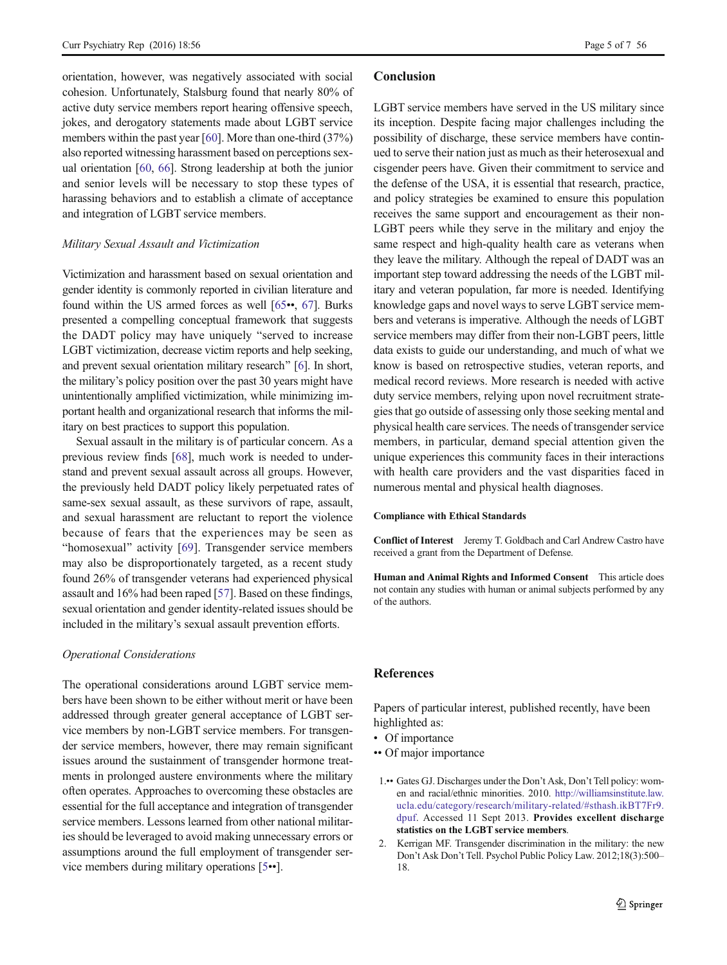<span id="page-4-0"></span>orientation, however, was negatively associated with social cohesion. Unfortunately, Stalsburg found that nearly 80% of active duty service members report hearing offensive speech, jokes, and derogatory statements made about LGBT service members within the past year [\[60](#page-6-0)]. More than one-third (37%) also reported witnessing harassment based on perceptions sexual orientation [\[60,](#page-6-0) [66](#page-6-0)]. Strong leadership at both the junior and senior levels will be necessary to stop these types of harassing behaviors and to establish a climate of acceptance and integration of LGBT service members.

#### Military Sexual Assault and Victimization

Victimization and harassment based on sexual orientation and gender identity is commonly reported in civilian literature and found within the US armed forces as well [\[65](#page-6-0)••, [67\]](#page-6-0). Burks presented a compelling conceptual framework that suggests the DADT policy may have uniquely "served to increase LGBT victimization, decrease victim reports and help seeking, and prevent sexual orientation military research^ [\[6\]](#page-5-0). In short, the military's policy position over the past 30 years might have unintentionally amplified victimization, while minimizing important health and organizational research that informs the military on best practices to support this population.

Sexual assault in the military is of particular concern. As a previous review finds [[68\]](#page-6-0), much work is needed to understand and prevent sexual assault across all groups. However, the previously held DADT policy likely perpetuated rates of same-sex sexual assault, as these survivors of rape, assault, and sexual harassment are reluctant to report the violence because of fears that the experiences may be seen as "homosexual" activity [[69\]](#page-6-0). Transgender service members may also be disproportionately targeted, as a recent study found 26% of transgender veterans had experienced physical assault and 16% had been raped [\[57](#page-6-0)]. Based on these findings, sexual orientation and gender identity-related issues should be included in the military's sexual assault prevention efforts.

#### Operational Considerations

The operational considerations around LGBT service members have been shown to be either without merit or have been addressed through greater general acceptance of LGBT service members by non-LGBT service members. For transgender service members, however, there may remain significant issues around the sustainment of transgender hormone treatments in prolonged austere environments where the military often operates. Approaches to overcoming these obstacles are essential for the full acceptance and integration of transgender service members. Lessons learned from other national militaries should be leveraged to avoid making unnecessary errors or assumptions around the full employment of transgender service members during military operations [[5](#page-5-0)••].

#### Conclusion

LGBT service members have served in the US military since its inception. Despite facing major challenges including the possibility of discharge, these service members have continued to serve their nation just as much as their heterosexual and cisgender peers have. Given their commitment to service and the defense of the USA, it is essential that research, practice, and policy strategies be examined to ensure this population receives the same support and encouragement as their non-LGBT peers while they serve in the military and enjoy the same respect and high-quality health care as veterans when they leave the military. Although the repeal of DADT was an important step toward addressing the needs of the LGBT military and veteran population, far more is needed. Identifying knowledge gaps and novel ways to serve LGBT service members and veterans is imperative. Although the needs of LGBT service members may differ from their non-LGBT peers, little data exists to guide our understanding, and much of what we know is based on retrospective studies, veteran reports, and medical record reviews. More research is needed with active duty service members, relying upon novel recruitment strategies that go outside of assessing only those seeking mental and physical health care services. The needs of transgender service members, in particular, demand special attention given the unique experiences this community faces in their interactions with health care providers and the vast disparities faced in numerous mental and physical health diagnoses.

#### Compliance with Ethical Standards

Conflict of Interest Jeremy T. Goldbach and Carl Andrew Castro have received a grant from the Department of Defense.

Human and Animal Rights and Informed Consent This article does not contain any studies with human or animal subjects performed by any of the authors.

## References

Papers of particular interest, published recently, have been highlighted as:

- Of importance
- •• Of major importance
- 1.•• Gates GJ. Discharges under the Don't Ask, Don't Tell policy: women and racial/ethnic minorities. 2010. [http://williamsinstitute.law.](http://williamsinstitute.law.ucla.edu/category/research/military-related/%23sthash.ikBT7Fr9.dpuf) [ucla.edu/category/research/military-related/#sthash.ikBT7Fr9.](http://williamsinstitute.law.ucla.edu/category/research/military-related/%23sthash.ikBT7Fr9.dpuf) [dpuf](http://williamsinstitute.law.ucla.edu/category/research/military-related/%23sthash.ikBT7Fr9.dpuf). Accessed 11 Sept 2013. Provides excellent discharge statistics on the LGBT service members.
- 2. Kerrigan MF. Transgender discrimination in the military: the new Don't Ask Don't Tell. Psychol Public Policy Law. 2012;18(3):500– 18.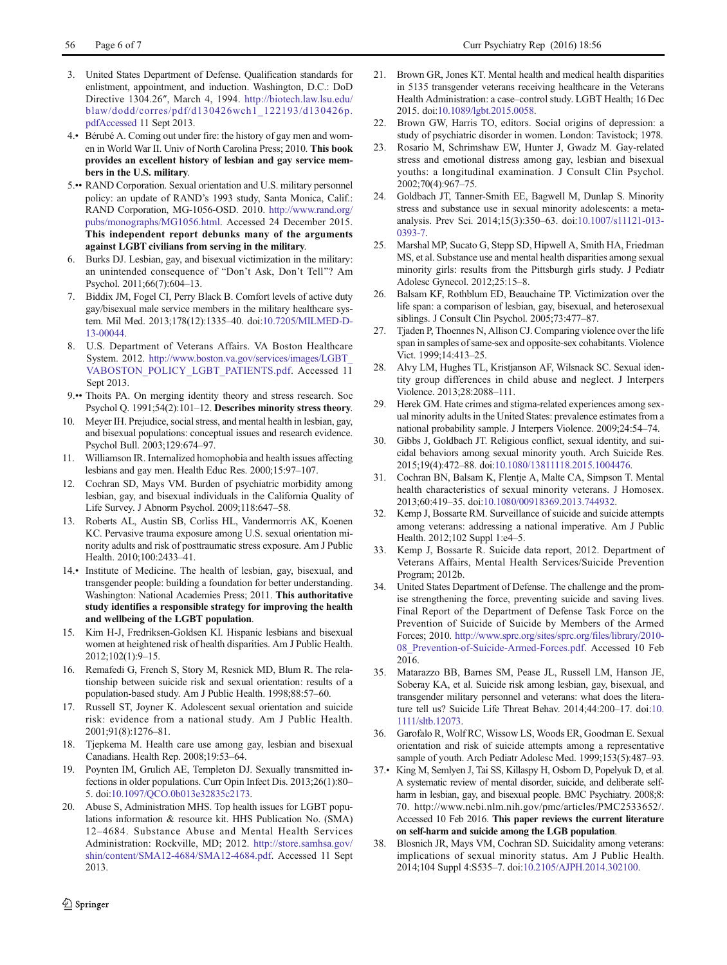- <span id="page-5-0"></span>3. United States Department of Defense. Qualification standards for enlistment, appointment, and induction. Washington, D.C.: DoD Directive 1304.26″, March 4, 1994. [http://biotech.law.lsu.edu/](http://biotech.law.lsu.edu/blaw/dodd/corres/pdf/d130426wch1_122193/d130426p.pdfAccessed) [blaw/dodd/corres/pdf/d130426wch1\\_122193/d130426p.](http://biotech.law.lsu.edu/blaw/dodd/corres/pdf/d130426wch1_122193/d130426p.pdfAccessed) [pdfAccessed](http://biotech.law.lsu.edu/blaw/dodd/corres/pdf/d130426wch1_122193/d130426p.pdfAccessed) 11 Sept 2013.
- 4.• Bérubé A. Coming out under fire: the history of gay men and women in World War II. Univ of North Carolina Press; 2010. This book provides an excellent history of lesbian and gay service members in the U.S. military.
- 5.•• RAND Corporation. Sexual orientation and U.S. military personnel policy: an update of RAND's 1993 study, Santa Monica, Calif.: RAND Corporation, MG-1056-OSD. 2010. [http://www.rand.org/](http://www.rand.org/pubs/monographs/MG1056.html) [pubs/monographs/MG1056.html](http://www.rand.org/pubs/monographs/MG1056.html). Accessed 24 December 2015. This independent report debunks many of the arguments against LGBT civilians from serving in the military.
- 6. Burks DJ. Lesbian, gay, and bisexual victimization in the military: an unintended consequence of "Don't Ask, Don't Tell"? Am Psychol. 2011;66(7):604–13.
- 7. Biddix JM, Fogel CI, Perry Black B. Comfort levels of active duty gay/bisexual male service members in the military healthcare system. Mil Med. 2013;178(12):1335–40. doi[:10.7205/MILMED-D-](http://dx.doi.org/10.7205/MILMED-D-13-00044)[13-00044.](http://dx.doi.org/10.7205/MILMED-D-13-00044)
- 8. U.S. Department of Veterans Affairs. VA Boston Healthcare System. 2012. [http://www.boston.va.gov/services/images/LGBT\\_](http://www.boston.va.gov/services/images/LGBT_VABOSTON_POLICY_LGBT_PATIENTS.pdf) [VABOSTON\\_POLICY\\_LGBT\\_PATIENTS.pdf](http://www.boston.va.gov/services/images/LGBT_VABOSTON_POLICY_LGBT_PATIENTS.pdf). Accessed 11 Sept 2013.
- 9.•• Thoits PA. On merging identity theory and stress research. Soc Psychol Q. 1991;54(2):101–12. Describes minority stress theory.
- 10. Meyer IH. Prejudice, social stress, and mental health in lesbian, gay, and bisexual populations: conceptual issues and research evidence. Psychol Bull. 2003;129:674–97.
- 11. Williamson IR. Internalized homophobia and health issues affecting lesbians and gay men. Health Educ Res. 2000;15:97–107.
- 12. Cochran SD, Mays VM. Burden of psychiatric morbidity among lesbian, gay, and bisexual individuals in the California Quality of Life Survey. J Abnorm Psychol. 2009;118:647–58.
- 13. Roberts AL, Austin SB, Corliss HL, Vandermorris AK, Koenen KC. Pervasive trauma exposure among U.S. sexual orientation minority adults and risk of posttraumatic stress exposure. Am J Public Health. 2010;100:2433–41.
- 14.• Institute of Medicine. The health of lesbian, gay, bisexual, and transgender people: building a foundation for better understanding. Washington: National Academies Press; 2011. This authoritative study identifies a responsible strategy for improving the health and wellbeing of the LGBT population.
- 15. Kim H-J, Fredriksen-Goldsen KI. Hispanic lesbians and bisexual women at heightened risk of health disparities. Am J Public Health. 2012;102(1):9–15.
- 16. Remafedi G, French S, Story M, Resnick MD, Blum R. The relationship between suicide risk and sexual orientation: results of a population-based study. Am J Public Health. 1998;88:57–60.
- 17. Russell ST, Joyner K. Adolescent sexual orientation and suicide risk: evidence from a national study. Am J Public Health. 2001;91(8):1276–81.
- 18. Tjepkema M. Health care use among gay, lesbian and bisexual Canadians. Health Rep. 2008;19:53–64.
- 19. Poynten IM, Grulich AE, Templeton DJ. Sexually transmitted infections in older populations. Curr Opin Infect Dis. 2013;26(1):80– 5. doi[:10.1097/QCO.0b013e32835c2173.](http://dx.doi.org/10.1097/QCO.0b013e32835c2173)
- 20. Abuse S, Administration MHS. Top health issues for LGBT populations information & resource kit. HHS Publication No. (SMA) 12–4684. Substance Abuse and Mental Health Services Administration: Rockville, MD; 2012. [http://store.samhsa.gov/](http://store.samhsa.gov/shin/content/SMA12-4684/SMA12-4684.pdf) [shin/content/SMA12-4684/SMA12-4684.pdf](http://store.samhsa.gov/shin/content/SMA12-4684/SMA12-4684.pdf). Accessed 11 Sept 2013.
- 21. Brown GR, Jones KT. Mental health and medical health disparities in 5135 transgender veterans receiving healthcare in the Veterans Health Administration: a case–control study. LGBT Health; 16 Dec 2015. doi:[10.1089/lgbt.2015.0058](http://dx.doi.org/10.1089/lgbt.2015.0058).
- 22. Brown GW, Harris TO, editors. Social origins of depression: a study of psychiatric disorder in women. London: Tavistock; 1978.
- 23. Rosario M, Schrimshaw EW, Hunter J, Gwadz M. Gay-related stress and emotional distress among gay, lesbian and bisexual youths: a longitudinal examination. J Consult Clin Psychol. 2002;70(4):967–75.
- 24. Goldbach JT, Tanner-Smith EE, Bagwell M, Dunlap S. Minority stress and substance use in sexual minority adolescents: a metaanalysis. Prev Sci. 2014;15(3):350–63. doi[:10.1007/s11121-013-](http://dx.doi.org/10.1007/s11121-013-0393-7) [0393-7](http://dx.doi.org/10.1007/s11121-013-0393-7).
- 25. Marshal MP, Sucato G, Stepp SD, Hipwell A, Smith HA, Friedman MS, et al. Substance use and mental health disparities among sexual minority girls: results from the Pittsburgh girls study. J Pediatr Adolesc Gynecol. 2012;25:15–8.
- 26. Balsam KF, Rothblum ED, Beauchaine TP. Victimization over the life span: a comparison of lesbian, gay, bisexual, and heterosexual siblings. J Consult Clin Psychol. 2005;73:477–87.
- 27. Tjaden P, Thoennes N, Allison CJ. Comparing violence over the life span in samples of same-sex and opposite-sex cohabitants. Violence Vict. 1999;14:413–25.
- 28. Alvy LM, Hughes TL, Kristjanson AF, Wilsnack SC. Sexual identity group differences in child abuse and neglect. J Interpers Violence. 2013;28:2088–111.
- 29. Herek GM. Hate crimes and stigma-related experiences among sexual minority adults in the United States: prevalence estimates from a national probability sample. J Interpers Violence. 2009;24:54–74.
- 30. Gibbs J, Goldbach JT. Religious conflict, sexual identity, and suicidal behaviors among sexual minority youth. Arch Suicide Res. 2015;19(4):472–88. doi:[10.1080/13811118.2015.1004476](http://dx.doi.org/10.1080/13811118.2015.1004476).
- 31. Cochran BN, Balsam K, Flentje A, Malte CA, Simpson T. Mental health characteristics of sexual minority veterans. J Homosex. 2013;60:419–35. doi[:10.1080/00918369.2013.744932.](http://dx.doi.org/10.1080/00918369.2013.744932)
- 32. Kemp J, Bossarte RM. Surveillance of suicide and suicide attempts among veterans: addressing a national imperative. Am J Public Health. 2012;102 Suppl 1:e4–5.
- 33. Kemp J, Bossarte R. Suicide data report, 2012. Department of Veterans Affairs, Mental Health Services/Suicide Prevention Program; 2012b.
- 34. United States Department of Defense. The challenge and the promise strengthening the force, preventing suicide and saving lives. Final Report of the Department of Defense Task Force on the Prevention of Suicide of Suicide by Members of the Armed Forces; 2010. [http://www.sprc.org/sites/sprc.org/files/library/2010-](http://www.sprc.org/sites/sprc.org/files/library/2010-08_Prevention-of-Suicide-Armed-Forces.pdf) [08\\_Prevention-of-Suicide-Armed-Forces.pdf.](http://www.sprc.org/sites/sprc.org/files/library/2010-08_Prevention-of-Suicide-Armed-Forces.pdf) Accessed 10 Feb 2016.
- 35. Matarazzo BB, Barnes SM, Pease JL, Russell LM, Hanson JE, Soberay KA, et al. Suicide risk among lesbian, gay, bisexual, and transgender military personnel and veterans: what does the literature tell us? Suicide Life Threat Behav. 2014;44:200–17. doi[:10.](http://dx.doi.org/10.1111/sltb.12073) [1111/sltb.12073.](http://dx.doi.org/10.1111/sltb.12073)
- 36. Garofalo R, Wolf RC, Wissow LS, Woods ER, Goodman E. Sexual orientation and risk of suicide attempts among a representative sample of youth. Arch Pediatr Adolesc Med. 1999;153(5):487–93.
- 37.• King M, Semlyen J, Tai SS, Killaspy H, Osborn D, Popelyuk D, et al. A systematic review of mental disorder, suicide, and deliberate selfharm in lesbian, gay, and bisexual people. BMC Psychiatry. 2008;8: 70. http://www.ncbi.nlm.nih.gov/pmc/articles/PMC2533652/. Accessed 10 Feb 2016. This paper reviews the current literature on self-harm and suicide among the LGB population.
- 38. Blosnich JR, Mays VM, Cochran SD. Suicidality among veterans: implications of sexual minority status. Am J Public Health. 2014;104 Suppl 4:S535–7. doi:[10.2105/AJPH.2014.302100.](http://dx.doi.org/10.2105/AJPH.2014.302100)